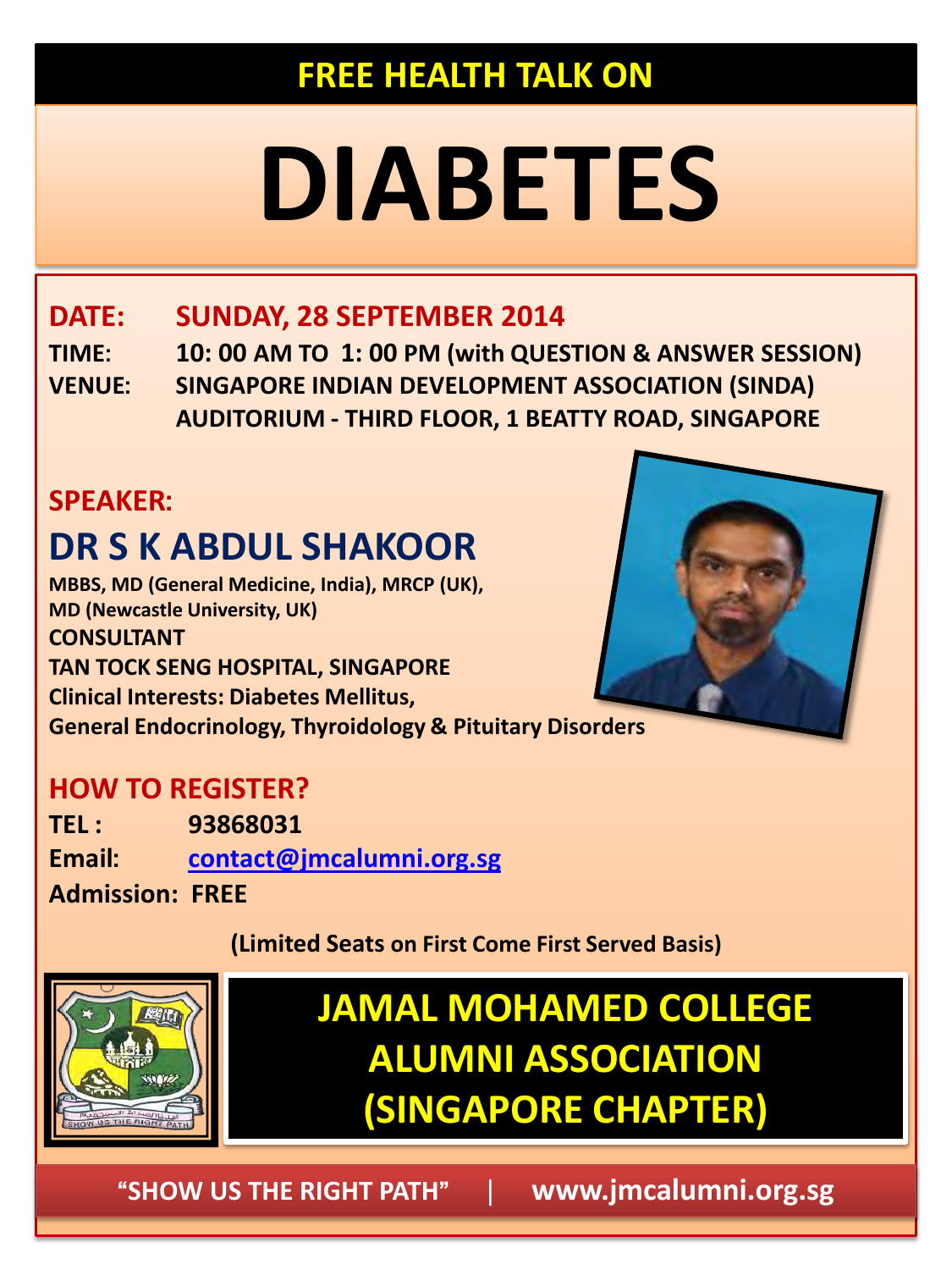## **FREE HEALTH TALK ON**

# **DIABETES**

## **DATE: SUNDAY, 28 SEPTEMBER 2014**

**TIME: 10: 00 AM TO 1: 00 PM (with QUESTION & ANSWER SESSION) VENUE: SINGAPORE INDIAN DEVELOPMENT ASSOCIATION (SINDA) AUDITORIUM - THIRD FLOOR, 1 BEATTY ROAD, SINGAPORE** 

## **SPEAKER:**

## **DR S K ABDUL SHAKOOR**

**MBBS, MD (General Medicine, India), MRCP (UK), MD (Newcastle University, UK) CONSULTANT TAN TOCK SENG HOSPITAL, SINGAPORE Clinical Interests: Diabetes Mellitus, General Endocrinology, Thyroidology & Pituitary Disorders** 

#### **HOW TO REGISTER?**

**TEL : 93868031 Email: [contact@jmcalumni.org.sg](mailto:contact@jmcalumni.org.sg) Admission: FREE** 



**(Limited Seats on First Come First Served Basis)**



## **JAMAL MOHAMED COLLEGE ALUMNI ASSOCIATION (SINGAPORE CHAPTER)**

**"SHOW US THE RIGHT PATH"** | **www.jmcalumni.org.sg**